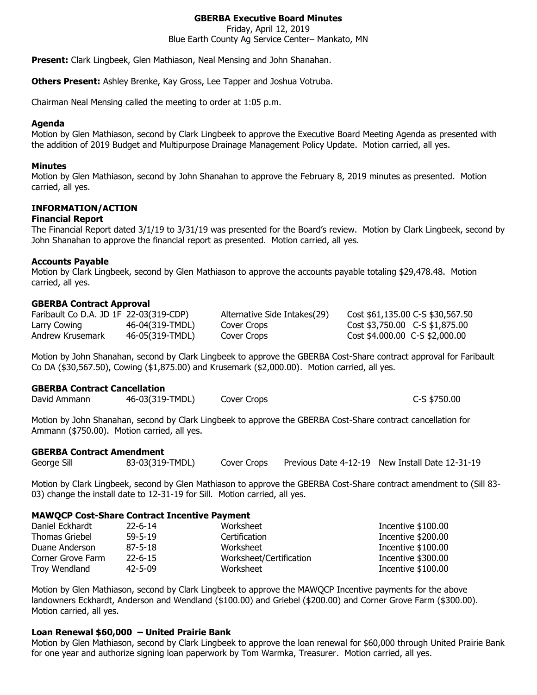# **GBERBA Executive Board Minutes**

Friday, April 12, 2019 Blue Earth County Ag Service Center– Mankato, MN

**Present:** Clark Lingbeek, Glen Mathiason, Neal Mensing and John Shanahan.

**Others Present:** Ashley Brenke, Kay Gross, Lee Tapper and Joshua Votruba.

Chairman Neal Mensing called the meeting to order at 1:05 p.m.

### **Agenda**

Motion by Glen Mathiason, second by Clark Lingbeek to approve the Executive Board Meeting Agenda as presented with the addition of 2019 Budget and Multipurpose Drainage Management Policy Update. Motion carried, all yes.

#### **Minutes**

Motion by Glen Mathiason, second by John Shanahan to approve the February 8, 2019 minutes as presented. Motion carried, all yes.

# **INFORMATION/ACTION**

### **Financial Report**

The Financial Report dated 3/1/19 to 3/31/19 was presented for the Board's review. Motion by Clark Lingbeek, second by John Shanahan to approve the financial report as presented. Motion carried, all yes.

### **Accounts Payable**

Motion by Clark Lingbeek, second by Glen Mathiason to approve the accounts payable totaling \$29,478.48. Motion carried, all yes.

### **GBERBA Contract Approval**

| Faribault Co D.A. JD 1F 22-03(319-CDP) |                 | Alternative Side Intakes (29) | Cost \$61,135.00 C-S \$30,567.50 |
|----------------------------------------|-----------------|-------------------------------|----------------------------------|
| Larry Cowing                           | 46-04(319-TMDL) | Cover Crops                   | $Cost $3,750.00$ C-S \$1,875.00  |
| Andrew Krusemark                       | 46-05(319-TMDL) | Cover Crops                   | Cost \$4.000.00 C-S \$2,000.00   |

Motion by John Shanahan, second by Clark Lingbeek to approve the GBERBA Cost-Share contract approval for Faribault Co DA (\$30,567.50), Cowing (\$1,875.00) and Krusemark (\$2,000.00). Motion carried, all yes.

#### **GBERBA Contract Cancellation**

| David Ammann | 46-03(319-TMDL) | Cover Crops | C-S \$750.00 |
|--------------|-----------------|-------------|--------------|
|--------------|-----------------|-------------|--------------|

Motion by John Shanahan, second by Clark Lingbeek to approve the GBERBA Cost-Share contract cancellation for Ammann (\$750.00). Motion carried, all yes.

#### **GBERBA Contract Amendment**

| 83-03(319-TMDL)<br>George Sill<br>Cover Crops | Previous Date 4-12-19 New Install Date 12-31-19 |
|-----------------------------------------------|-------------------------------------------------|
|-----------------------------------------------|-------------------------------------------------|

Motion by Clark Lingbeek, second by Glen Mathiason to approve the GBERBA Cost-Share contract amendment to (Sill 83- 03) change the install date to 12-31-19 for Sill. Motion carried, all yes.

#### **MAWQCP Cost-Share Contract Incentive Payment**

| Daniel Eckhardt   | $22 - 6 - 14$ | Worksheet               | Incentive \$100.00 |
|-------------------|---------------|-------------------------|--------------------|
| Thomas Griebel    | $59 - 5 - 19$ | Certification           | Incentive \$200.00 |
| Duane Anderson    | $87 - 5 - 18$ | Worksheet               | Incentive \$100.00 |
| Corner Grove Farm | $22 - 6 - 15$ | Worksheet/Certification | Incentive \$300.00 |
| Troy Wendland     | $42 - 5 - 09$ | Worksheet               | Incentive \$100.00 |

Motion by Glen Mathiason, second by Clark Lingbeek to approve the MAWQCP Incentive payments for the above landowners Eckhardt, Anderson and Wendland (\$100.00) and Griebel (\$200.00) and Corner Grove Farm (\$300.00). Motion carried, all yes.

# **Loan Renewal \$60,000 – United Prairie Bank**

Motion by Glen Mathiason, second by Clark Lingbeek to approve the loan renewal for \$60,000 through United Prairie Bank for one year and authorize signing loan paperwork by Tom Warmka, Treasurer. Motion carried, all yes.